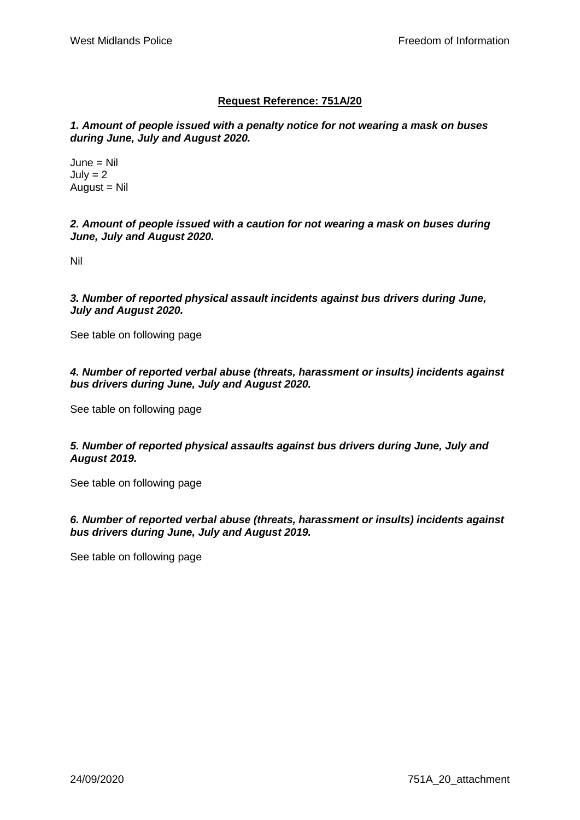## **Request Reference: 751A/20**

*1. Amount of people issued with a penalty notice for not wearing a mask on buses during June, July and August 2020.*

June = Nil  $July = 2$  $August = Nil$ 

*2. Amount of people issued with a caution for not wearing a mask on buses during June, July and August 2020.*

Nil

*3. Number of reported physical assault incidents against bus drivers during June, July and August 2020.*

See table on following page

## *4. Number of reported verbal abuse (threats, harassment or insults) incidents against bus drivers during June, July and August 2020.*

See table on following page

*5. Number of reported physical assaults against bus drivers during June, July and August 2019.*

See table on following page

*6. Number of reported verbal abuse (threats, harassment or insults) incidents against bus drivers during June, July and August 2019.*

See table on following page